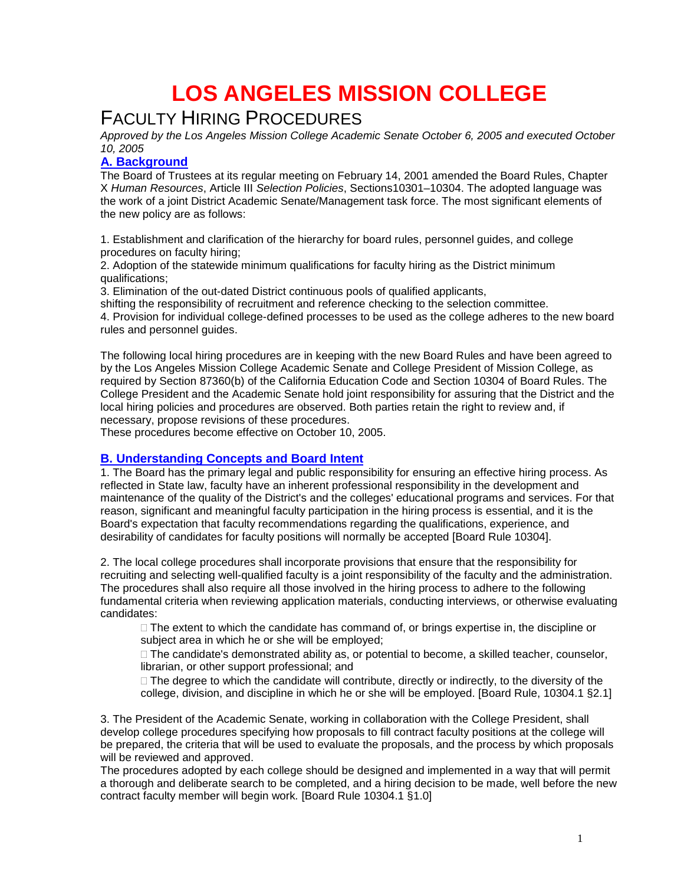# **LOS ANGELES MISSION COLLEGE**

# FACULTY HIRING PROCEDURES

*Approved by the Los Angeles Mission College Academic Senate October 6, 2005 and executed October 10, 2005*

# **A. Background**

The Board of Trustees at its regular meeting on February 14, 2001 amended the Board Rules, Chapter X *Human Resources*, Article III *Selection Policies*, Sections10301–10304. The adopted language was the work of a joint District Academic Senate/Management task force. The most significant elements of the new policy are as follows:

1. Establishment and clarification of the hierarchy for board rules, personnel guides, and college procedures on faculty hiring;

2. Adoption of the statewide minimum qualifications for faculty hiring as the District minimum qualifications;

3. Elimination of the out-dated District continuous pools of qualified applicants,

shifting the responsibility of recruitment and reference checking to the selection committee.

4. Provision for individual college-defined processes to be used as the college adheres to the new board rules and personnel guides.

The following local hiring procedures are in keeping with the new Board Rules and have been agreed to by the Los Angeles Mission College Academic Senate and College President of Mission College, as required by Section 87360(b) of the California Education Code and Section 10304 of Board Rules. The College President and the Academic Senate hold joint responsibility for assuring that the District and the local hiring policies and procedures are observed. Both parties retain the right to review and, if necessary, propose revisions of these procedures.

These procedures become effective on October 10, 2005.

# **B. Understanding Concepts and Board Intent**

1. The Board has the primary legal and public responsibility for ensuring an effective hiring process. As reflected in State law, faculty have an inherent professional responsibility in the development and maintenance of the quality of the District's and the colleges' educational programs and services. For that reason, significant and meaningful faculty participation in the hiring process is essential, and it is the Board's expectation that faculty recommendations regarding the qualifications, experience, and desirability of candidates for faculty positions will normally be accepted [Board Rule 10304].

2. The local college procedures shall incorporate provisions that ensure that the responsibility for recruiting and selecting well-qualified faculty is a joint responsibility of the faculty and the administration. The procedures shall also require all those involved in the hiring process to adhere to the following fundamental criteria when reviewing application materials, conducting interviews, or otherwise evaluating candidates:

 $\Box$  The extent to which the candidate has command of, or brings expertise in, the discipline or subject area in which he or she will be employed;

 $\Box$  The candidate's demonstrated ability as, or potential to become, a skilled teacher, counselor, librarian, or other support professional; and

 $\Box$  The degree to which the candidate will contribute, directly or indirectly, to the diversity of the college, division, and discipline in which he or she will be employed. [Board Rule, 10304.1 §2.1]

3. The President of the Academic Senate, working in collaboration with the College President, shall develop college procedures specifying how proposals to fill contract faculty positions at the college will be prepared, the criteria that will be used to evaluate the proposals, and the process by which proposals will be reviewed and approved.

The procedures adopted by each college should be designed and implemented in a way that will permit a thorough and deliberate search to be completed, and a hiring decision to be made, well before the new contract faculty member will begin work*.* [Board Rule 10304.1 §1.0]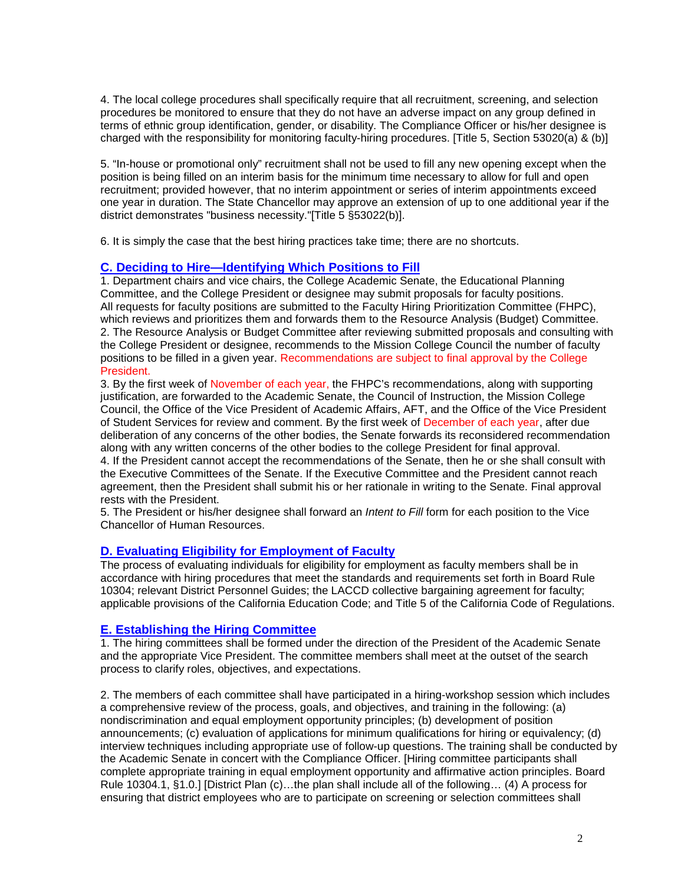4. The local college procedures shall specifically require that all recruitment, screening, and selection procedures be monitored to ensure that they do not have an adverse impact on any group defined in terms of ethnic group identification, gender, or disability. The Compliance Officer or his/her designee is charged with the responsibility for monitoring faculty-hiring procedures. [Title 5, Section 53020(a) & (b)]

5. "In-house or promotional only" recruitment shall not be used to fill any new opening except when the position is being filled on an interim basis for the minimum time necessary to allow for full and open recruitment; provided however, that no interim appointment or series of interim appointments exceed one year in duration. The State Chancellor may approve an extension of up to one additional year if the district demonstrates "business necessity."[Title 5 §53022(b)].

6. It is simply the case that the best hiring practices take time; there are no shortcuts.

## **C. Deciding to Hire—Identifying Which Positions to Fill**

1. Department chairs and vice chairs, the College Academic Senate, the Educational Planning Committee, and the College President or designee may submit proposals for faculty positions. All requests for faculty positions are submitted to the Faculty Hiring Prioritization Committee (FHPC), which reviews and prioritizes them and forwards them to the Resource Analysis (Budget) Committee. 2. The Resource Analysis or Budget Committee after reviewing submitted proposals and consulting with the College President or designee, recommends to the Mission College Council the number of faculty positions to be filled in a given year. Recommendations are subject to final approval by the College President.

3. By the first week of November of each year, the FHPC's recommendations, along with supporting justification, are forwarded to the Academic Senate, the Council of Instruction, the Mission College Council, the Office of the Vice President of Academic Affairs, AFT, and the Office of the Vice President of Student Services for review and comment. By the first week of December of each year, after due deliberation of any concerns of the other bodies, the Senate forwards its reconsidered recommendation along with any written concerns of the other bodies to the college President for final approval. 4. If the President cannot accept the recommendations of the Senate, then he or she shall consult with the Executive Committees of the Senate. If the Executive Committee and the President cannot reach agreement, then the President shall submit his or her rationale in writing to the Senate. Final approval rests with the President.

5. The President or his/her designee shall forward an *Intent to Fill* form for each position to the Vice Chancellor of Human Resources.

# **D. Evaluating Eligibility for Employment of Faculty**

The process of evaluating individuals for eligibility for employment as faculty members shall be in accordance with hiring procedures that meet the standards and requirements set forth in Board Rule 10304; relevant District Personnel Guides; the LACCD collective bargaining agreement for faculty; applicable provisions of the California Education Code; and Title 5 of the California Code of Regulations.

#### **E. Establishing the Hiring Committee**

1. The hiring committees shall be formed under the direction of the President of the Academic Senate and the appropriate Vice President. The committee members shall meet at the outset of the search process to clarify roles, objectives, and expectations.

2. The members of each committee shall have participated in a hiring-workshop session which includes a comprehensive review of the process, goals, and objectives, and training in the following: (a) nondiscrimination and equal employment opportunity principles; (b) development of position announcements; (c) evaluation of applications for minimum qualifications for hiring or equivalency; (d) interview techniques including appropriate use of follow-up questions. The training shall be conducted by the Academic Senate in concert with the Compliance Officer. [Hiring committee participants shall complete appropriate training in equal employment opportunity and affirmative action principles. Board Rule 10304.1, §1.0.] [District Plan (c)…the plan shall include all of the following… (4) A process for ensuring that district employees who are to participate on screening or selection committees shall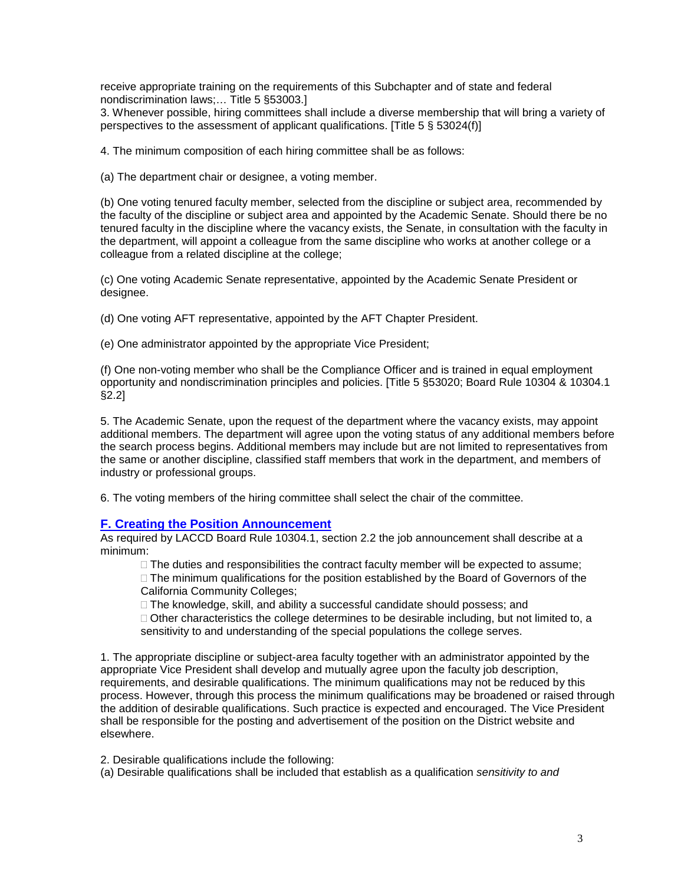receive appropriate training on the requirements of this Subchapter and of state and federal nondiscrimination laws;… Title 5 §53003.]

3. Whenever possible, hiring committees shall include a diverse membership that will bring a variety of perspectives to the assessment of applicant qualifications. [Title 5 § 53024(f)]

4. The minimum composition of each hiring committee shall be as follows:

(a) The department chair or designee, a voting member.

(b) One voting tenured faculty member, selected from the discipline or subject area, recommended by the faculty of the discipline or subject area and appointed by the Academic Senate. Should there be no tenured faculty in the discipline where the vacancy exists, the Senate, in consultation with the faculty in the department, will appoint a colleague from the same discipline who works at another college or a colleague from a related discipline at the college;

(c) One voting Academic Senate representative, appointed by the Academic Senate President or designee.

(d) One voting AFT representative, appointed by the AFT Chapter President.

(e) One administrator appointed by the appropriate Vice President;

(f) One non-voting member who shall be the Compliance Officer and is trained in equal employment opportunity and nondiscrimination principles and policies. [Title 5 §53020; Board Rule 10304 & 10304.1 §2.2]

5. The Academic Senate, upon the request of the department where the vacancy exists, may appoint additional members. The department will agree upon the voting status of any additional members before the search process begins. Additional members may include but are not limited to representatives from the same or another discipline, classified staff members that work in the department, and members of industry or professional groups.

6. The voting members of the hiring committee shall select the chair of the committee.

#### **F. Creating the Position Announcement**

As required by LACCD Board Rule 10304.1, section 2.2 the job announcement shall describe at a minimum:

 $\Box$  The duties and responsibilities the contract faculty member will be expected to assume;

 $\Box$  The minimum qualifications for the position established by the Board of Governors of the California Community Colleges;

 $\Box$  The knowledge, skill, and ability a successful candidate should possess; and

 $\Box$  Other characteristics the college determines to be desirable including, but not limited to, a sensitivity to and understanding of the special populations the college serves.

1. The appropriate discipline or subject-area faculty together with an administrator appointed by the appropriate Vice President shall develop and mutually agree upon the faculty job description, requirements, and desirable qualifications. The minimum qualifications may not be reduced by this process. However, through this process the minimum qualifications may be broadened or raised through the addition of desirable qualifications. Such practice is expected and encouraged. The Vice President shall be responsible for the posting and advertisement of the position on the District website and elsewhere.

2. Desirable qualifications include the following:

(a) Desirable qualifications shall be included that establish as a qualification *sensitivity to and*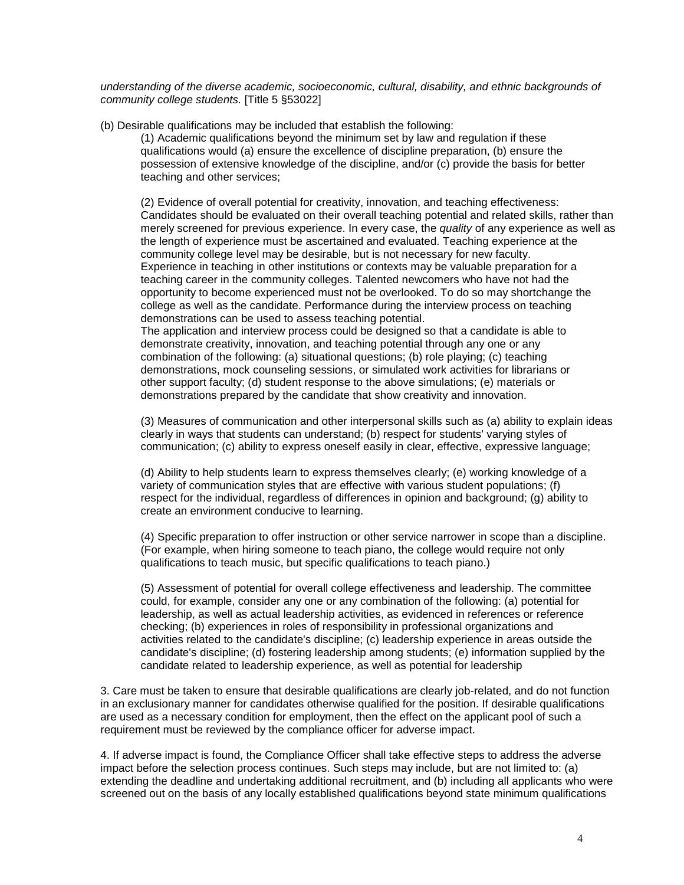*understanding of the diverse academic, socioeconomic, cultural, disability, and ethnic backgrounds of community college students.* [Title 5 §53022]

(b) Desirable qualifications may be included that establish the following:

(1) Academic qualifications beyond the minimum set by law and regulation if these qualifications would (a) ensure the excellence of discipline preparation, (b) ensure the possession of extensive knowledge of the discipline, and/or (c) provide the basis for better teaching and other services;

(2) Evidence of overall potential for creativity, innovation, and teaching effectiveness: Candidates should be evaluated on their overall teaching potential and related skills, rather than merely screened for previous experience. In every case, the *quality* of any experience as well as the length of experience must be ascertained and evaluated. Teaching experience at the community college level may be desirable, but is not necessary for new faculty. Experience in teaching in other institutions or contexts may be valuable preparation for a teaching career in the community colleges. Talented newcomers who have not had the opportunity to become experienced must not be overlooked. To do so may shortchange the college as well as the candidate. Performance during the interview process on teaching demonstrations can be used to assess teaching potential.

The application and interview process could be designed so that a candidate is able to demonstrate creativity, innovation, and teaching potential through any one or any combination of the following: (a) situational questions; (b) role playing; (c) teaching demonstrations, mock counseling sessions, or simulated work activities for librarians or other support faculty; (d) student response to the above simulations; (e) materials or demonstrations prepared by the candidate that show creativity and innovation.

(3) Measures of communication and other interpersonal skills such as (a) ability to explain ideas clearly in ways that students can understand; (b) respect for students' varying styles of communication; (c) ability to express oneself easily in clear, effective, expressive language;

(d) Ability to help students learn to express themselves clearly; (e) working knowledge of a variety of communication styles that are effective with various student populations; (f) respect for the individual, regardless of differences in opinion and background; (g) ability to create an environment conducive to learning.

(4) Specific preparation to offer instruction or other service narrower in scope than a discipline. (For example, when hiring someone to teach piano, the college would require not only qualifications to teach music, but specific qualifications to teach piano.)

(5) Assessment of potential for overall college effectiveness and leadership. The committee could, for example, consider any one or any combination of the following: (a) potential for leadership, as well as actual leadership activities, as evidenced in references or reference checking; (b) experiences in roles of responsibility in professional organizations and activities related to the candidate's discipline; (c) leadership experience in areas outside the candidate's discipline; (d) fostering leadership among students; (e) information supplied by the candidate related to leadership experience, as well as potential for leadership

3. Care must be taken to ensure that desirable qualifications are clearly job-related, and do not function in an exclusionary manner for candidates otherwise qualified for the position. If desirable qualifications are used as a necessary condition for employment, then the effect on the applicant pool of such a requirement must be reviewed by the compliance officer for adverse impact.

4. If adverse impact is found, the Compliance Officer shall take effective steps to address the adverse impact before the selection process continues. Such steps may include, but are not limited to: (a) extending the deadline and undertaking additional recruitment, and (b) including all applicants who were screened out on the basis of any locally established qualifications beyond state minimum qualifications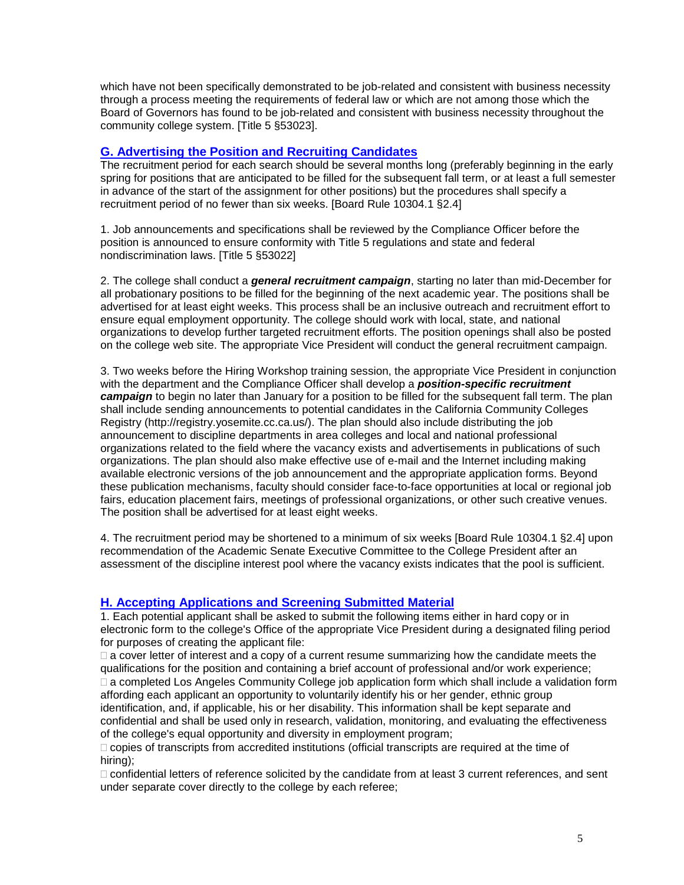which have not been specifically demonstrated to be job-related and consistent with business necessity through a process meeting the requirements of federal law or which are not among those which the Board of Governors has found to be job-related and consistent with business necessity throughout the community college system. [Title 5 §53023].

# **G. Advertising the Position and Recruiting Candidates**

The recruitment period for each search should be several months long (preferably beginning in the early spring for positions that are anticipated to be filled for the subsequent fall term, or at least a full semester in advance of the start of the assignment for other positions) but the procedures shall specify a recruitment period of no fewer than six weeks. [Board Rule 10304.1 §2.4]

1. Job announcements and specifications shall be reviewed by the Compliance Officer before the position is announced to ensure conformity with Title 5 regulations and state and federal nondiscrimination laws. [Title 5 §53022]

2. The college shall conduct a *general recruitment campaign*, starting no later than mid-December for all probationary positions to be filled for the beginning of the next academic year. The positions shall be advertised for at least eight weeks. This process shall be an inclusive outreach and recruitment effort to ensure equal employment opportunity. The college should work with local, state, and national organizations to develop further targeted recruitment efforts. The position openings shall also be posted on the college web site. The appropriate Vice President will conduct the general recruitment campaign.

3. Two weeks before the Hiring Workshop training session, the appropriate Vice President in conjunction with the department and the Compliance Officer shall develop a *position-specific recruitment campaign* to begin no later than January for a position to be filled for the subsequent fall term. The plan shall include sending announcements to potential candidates in the California Community Colleges Registry (http://registry.yosemite.cc.ca.us/). The plan should also include distributing the job announcement to discipline departments in area colleges and local and national professional organizations related to the field where the vacancy exists and advertisements in publications of such organizations. The plan should also make effective use of e-mail and the Internet including making available electronic versions of the job announcement and the appropriate application forms. Beyond these publication mechanisms, faculty should consider face-to-face opportunities at local or regional job fairs, education placement fairs, meetings of professional organizations, or other such creative venues. The position shall be advertised for at least eight weeks.

4. The recruitment period may be shortened to a minimum of six weeks [Board Rule 10304.1 §2.4] upon recommendation of the Academic Senate Executive Committee to the College President after an assessment of the discipline interest pool where the vacancy exists indicates that the pool is sufficient.

# **H. Accepting Applications and Screening Submitted Material**

1. Each potential applicant shall be asked to submit the following items either in hard copy or in electronic form to the college's Office of the appropriate Vice President during a designated filing period for purposes of creating the applicant file:

 $\Box$  a cover letter of interest and a copy of a current resume summarizing how the candidate meets the qualifications for the position and containing a brief account of professional and/or work experience; □ a completed Los Angeles Community College job application form which shall include a validation form affording each applicant an opportunity to voluntarily identify his or her gender, ethnic group identification, and, if applicable, his or her disability. This information shall be kept separate and confidential and shall be used only in research, validation, monitoring, and evaluating the effectiveness of the college's equal opportunity and diversity in employment program;

 $\Box$  copies of transcripts from accredited institutions (official transcripts are required at the time of hiring);

 confidential letters of reference solicited by the candidate from at least 3 current references, and sent under separate cover directly to the college by each referee;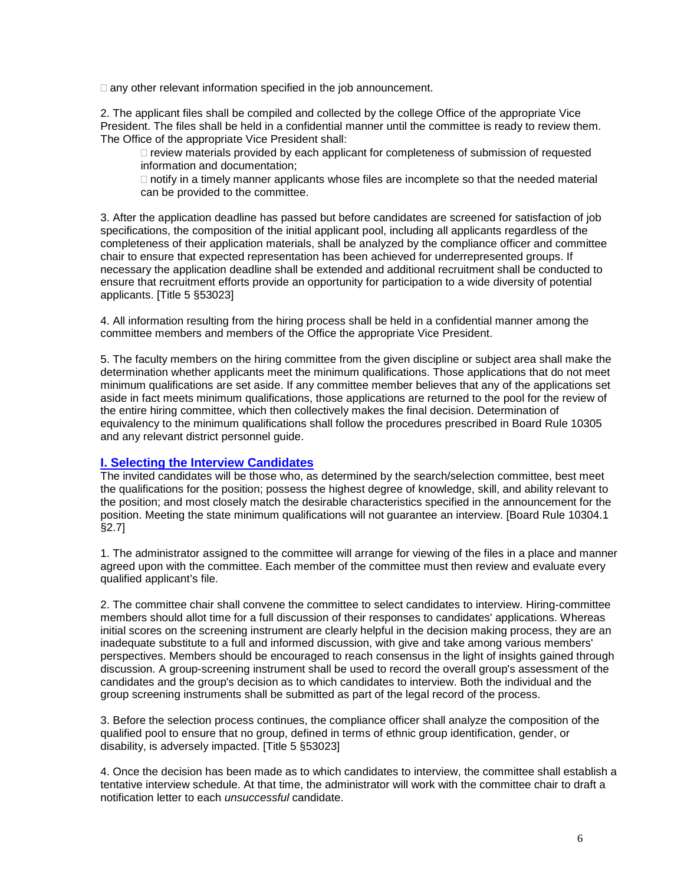$\Box$  any other relevant information specified in the job announcement.

2. The applicant files shall be compiled and collected by the college Office of the appropriate Vice President. The files shall be held in a confidential manner until the committee is ready to review them. The Office of the appropriate Vice President shall:

 $\Box$  review materials provided by each applicant for completeness of submission of requested information and documentation;

 $\Box$  notify in a timely manner applicants whose files are incomplete so that the needed material can be provided to the committee.

3. After the application deadline has passed but before candidates are screened for satisfaction of job specifications, the composition of the initial applicant pool, including all applicants regardless of the completeness of their application materials, shall be analyzed by the compliance officer and committee chair to ensure that expected representation has been achieved for underrepresented groups. If necessary the application deadline shall be extended and additional recruitment shall be conducted to ensure that recruitment efforts provide an opportunity for participation to a wide diversity of potential applicants. [Title 5 §53023]

4. All information resulting from the hiring process shall be held in a confidential manner among the committee members and members of the Office the appropriate Vice President.

5. The faculty members on the hiring committee from the given discipline or subject area shall make the determination whether applicants meet the minimum qualifications. Those applications that do not meet minimum qualifications are set aside. If any committee member believes that any of the applications set aside in fact meets minimum qualifications, those applications are returned to the pool for the review of the entire hiring committee, which then collectively makes the final decision. Determination of equivalency to the minimum qualifications shall follow the procedures prescribed in Board Rule 10305 and any relevant district personnel guide.

# **I. Selecting the Interview Candidates**

The invited candidates will be those who, as determined by the search/selection committee, best meet the qualifications for the position; possess the highest degree of knowledge, skill, and ability relevant to the position; and most closely match the desirable characteristics specified in the announcement for the position. Meeting the state minimum qualifications will not guarantee an interview. [Board Rule 10304.1 §2.7]

1. The administrator assigned to the committee will arrange for viewing of the files in a place and manner agreed upon with the committee. Each member of the committee must then review and evaluate every qualified applicant's file.

2. The committee chair shall convene the committee to select candidates to interview. Hiring-committee members should allot time for a full discussion of their responses to candidates' applications. Whereas initial scores on the screening instrument are clearly helpful in the decision making process, they are an inadequate substitute to a full and informed discussion, with give and take among various members' perspectives. Members should be encouraged to reach consensus in the light of insights gained through discussion. A group-screening instrument shall be used to record the overall group's assessment of the candidates and the group's decision as to which candidates to interview. Both the individual and the group screening instruments shall be submitted as part of the legal record of the process.

3. Before the selection process continues, the compliance officer shall analyze the composition of the qualified pool to ensure that no group, defined in terms of ethnic group identification, gender, or disability, is adversely impacted. [Title 5 §53023]

4. Once the decision has been made as to which candidates to interview, the committee shall establish a tentative interview schedule. At that time, the administrator will work with the committee chair to draft a notification letter to each *unsuccessful* candidate.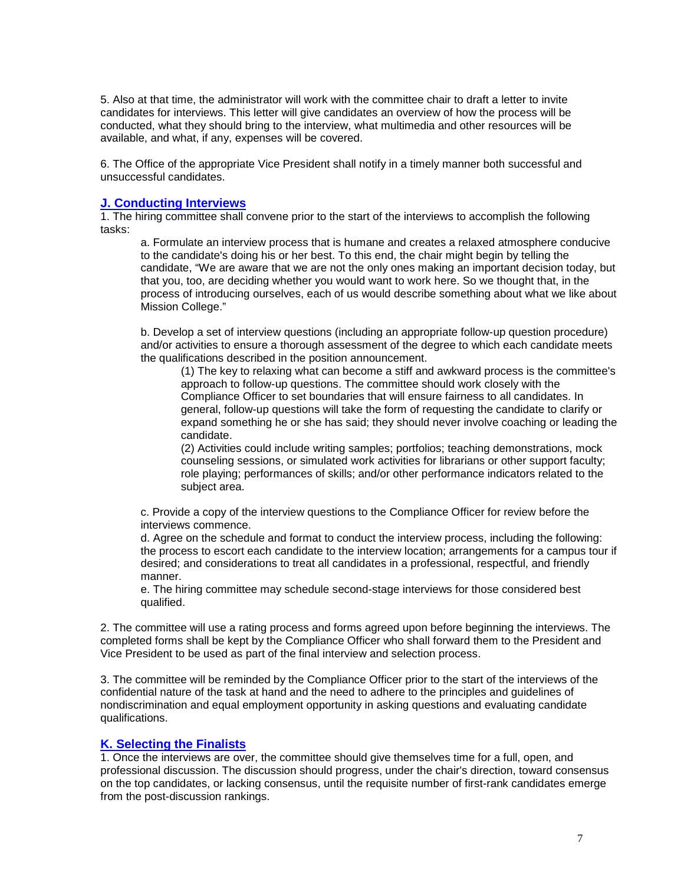5. Also at that time, the administrator will work with the committee chair to draft a letter to invite candidates for interviews. This letter will give candidates an overview of how the process will be conducted, what they should bring to the interview, what multimedia and other resources will be available, and what, if any, expenses will be covered.

6. The Office of the appropriate Vice President shall notify in a timely manner both successful and unsuccessful candidates.

# **J. Conducting Interviews**

1. The hiring committee shall convene prior to the start of the interviews to accomplish the following tasks:

a. Formulate an interview process that is humane and creates a relaxed atmosphere conducive to the candidate's doing his or her best. To this end, the chair might begin by telling the candidate, "We are aware that we are not the only ones making an important decision today, but that you, too, are deciding whether you would want to work here. So we thought that, in the process of introducing ourselves, each of us would describe something about what we like about Mission College."

b. Develop a set of interview questions (including an appropriate follow-up question procedure) and/or activities to ensure a thorough assessment of the degree to which each candidate meets the qualifications described in the position announcement.

(1) The key to relaxing what can become a stiff and awkward process is the committee's approach to follow-up questions. The committee should work closely with the Compliance Officer to set boundaries that will ensure fairness to all candidates. In general, follow-up questions will take the form of requesting the candidate to clarify or expand something he or she has said; they should never involve coaching or leading the candidate.

(2) Activities could include writing samples; portfolios; teaching demonstrations, mock counseling sessions, or simulated work activities for librarians or other support faculty; role playing; performances of skills; and/or other performance indicators related to the subject area.

c. Provide a copy of the interview questions to the Compliance Officer for review before the interviews commence.

d. Agree on the schedule and format to conduct the interview process, including the following: the process to escort each candidate to the interview location; arrangements for a campus tour if desired; and considerations to treat all candidates in a professional, respectful, and friendly manner.

e. The hiring committee may schedule second-stage interviews for those considered best qualified.

2. The committee will use a rating process and forms agreed upon before beginning the interviews. The completed forms shall be kept by the Compliance Officer who shall forward them to the President and Vice President to be used as part of the final interview and selection process.

3. The committee will be reminded by the Compliance Officer prior to the start of the interviews of the confidential nature of the task at hand and the need to adhere to the principles and guidelines of nondiscrimination and equal employment opportunity in asking questions and evaluating candidate qualifications.

#### **K. Selecting the Finalists**

1. Once the interviews are over, the committee should give themselves time for a full, open, and professional discussion. The discussion should progress, under the chair's direction, toward consensus on the top candidates, or lacking consensus, until the requisite number of first-rank candidates emerge from the post-discussion rankings.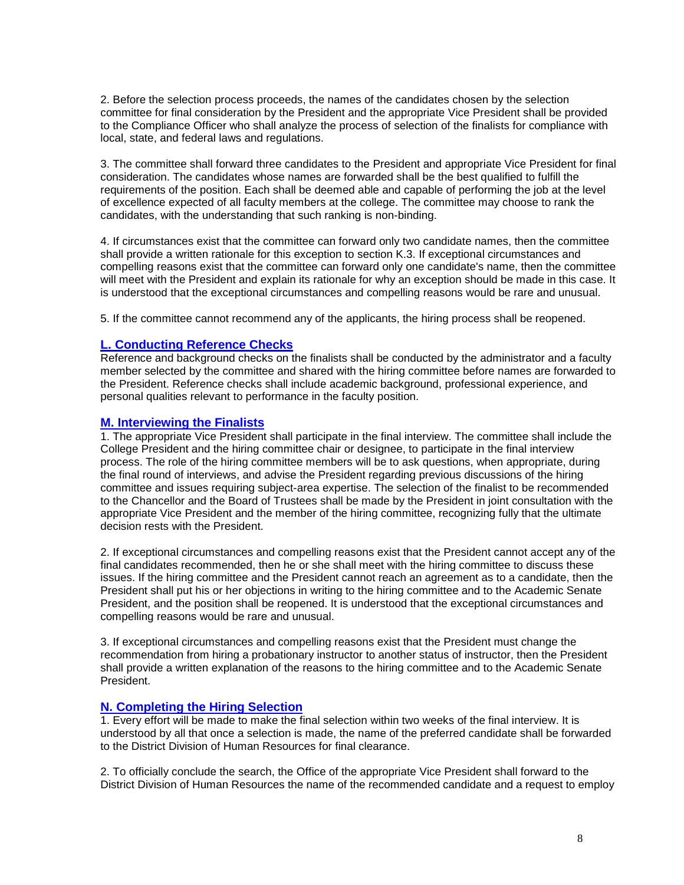2. Before the selection process proceeds, the names of the candidates chosen by the selection committee for final consideration by the President and the appropriate Vice President shall be provided to the Compliance Officer who shall analyze the process of selection of the finalists for compliance with local, state, and federal laws and regulations.

3. The committee shall forward three candidates to the President and appropriate Vice President for final consideration. The candidates whose names are forwarded shall be the best qualified to fulfill the requirements of the position. Each shall be deemed able and capable of performing the job at the level of excellence expected of all faculty members at the college. The committee may choose to rank the candidates, with the understanding that such ranking is non-binding.

4. If circumstances exist that the committee can forward only two candidate names, then the committee shall provide a written rationale for this exception to section K.3. If exceptional circumstances and compelling reasons exist that the committee can forward only one candidate's name, then the committee will meet with the President and explain its rationale for why an exception should be made in this case. It is understood that the exceptional circumstances and compelling reasons would be rare and unusual.

5. If the committee cannot recommend any of the applicants, the hiring process shall be reopened.

# **L. Conducting Reference Checks**

Reference and background checks on the finalists shall be conducted by the administrator and a faculty member selected by the committee and shared with the hiring committee before names are forwarded to the President. Reference checks shall include academic background, professional experience, and personal qualities relevant to performance in the faculty position.

## **M. Interviewing the Finalists**

1. The appropriate Vice President shall participate in the final interview. The committee shall include the College President and the hiring committee chair or designee, to participate in the final interview process. The role of the hiring committee members will be to ask questions, when appropriate, during the final round of interviews, and advise the President regarding previous discussions of the hiring committee and issues requiring subject-area expertise. The selection of the finalist to be recommended to the Chancellor and the Board of Trustees shall be made by the President in joint consultation with the appropriate Vice President and the member of the hiring committee, recognizing fully that the ultimate decision rests with the President.

2. If exceptional circumstances and compelling reasons exist that the President cannot accept any of the final candidates recommended, then he or she shall meet with the hiring committee to discuss these issues. If the hiring committee and the President cannot reach an agreement as to a candidate, then the President shall put his or her objections in writing to the hiring committee and to the Academic Senate President, and the position shall be reopened. It is understood that the exceptional circumstances and compelling reasons would be rare and unusual.

3. If exceptional circumstances and compelling reasons exist that the President must change the recommendation from hiring a probationary instructor to another status of instructor, then the President shall provide a written explanation of the reasons to the hiring committee and to the Academic Senate President.

#### **N. Completing the Hiring Selection**

1. Every effort will be made to make the final selection within two weeks of the final interview. It is understood by all that once a selection is made, the name of the preferred candidate shall be forwarded to the District Division of Human Resources for final clearance.

2. To officially conclude the search, the Office of the appropriate Vice President shall forward to the District Division of Human Resources the name of the recommended candidate and a request to employ